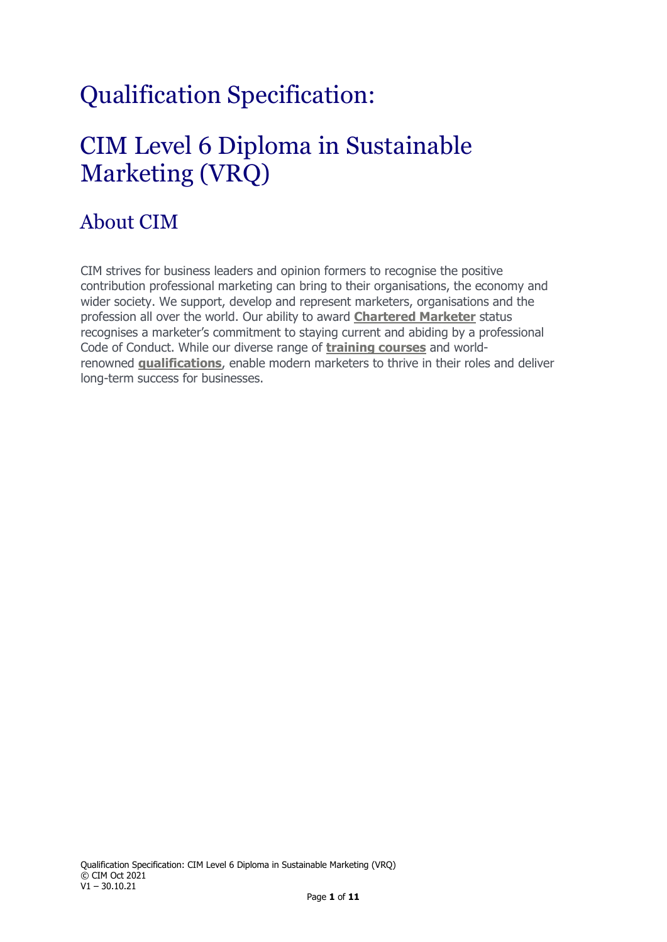# Qualification Specification:

## CIM Level 6 Diploma in Sustainable Marketing (VRQ)

## About CIM

CIM strives for business leaders and opinion formers to recognise the positive contribution professional marketing can bring to their organisations, the economy and wider society. We support, develop and represent marketers, organisations and the profession all over the world. Our ability to award **[Chartered Marketer](https://www.cim.co.uk/membership/chartered-marketer-status/)** status recognises a marketer's commitment to staying current and abiding by a professional Code of Conduct. While our diverse range of **[training courses](https://www.cim.co.uk/training/list-courses/)** and worldrenowned **[qualifications](https://www.cim.co.uk/qualifications/)**, enable modern marketers to thrive in their roles and deliver long-term success for businesses.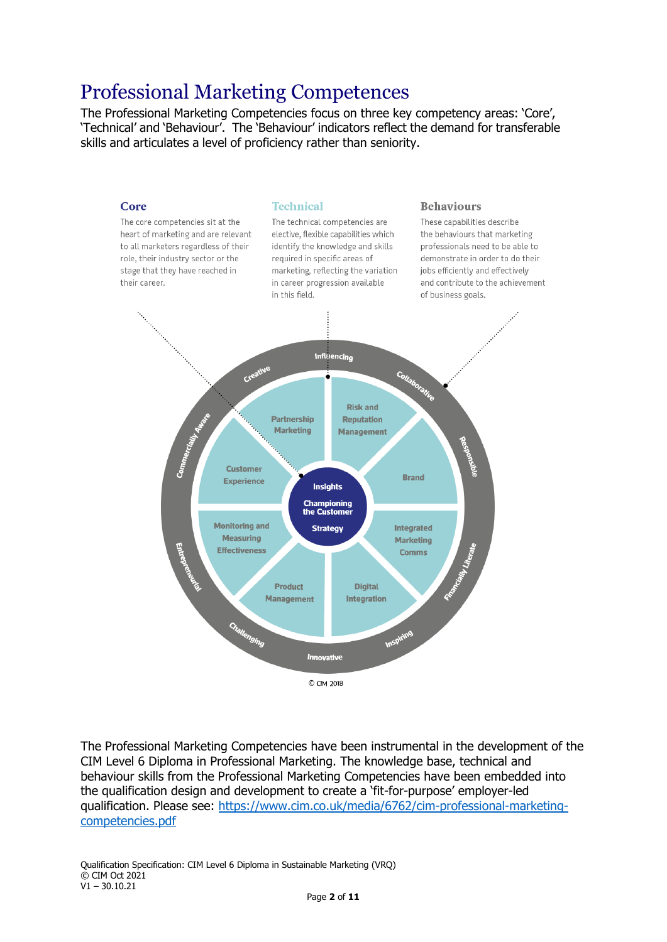## Professional Marketing Competences

The Professional Marketing Competencies focus on three key competency areas: 'Core', 'Technical' and 'Behaviour'. The 'Behaviour' indicators reflect the demand for transferable skills and articulates a level of proficiency rather than seniority.



The Professional Marketing Competencies have been instrumental in the development of the CIM Level 6 Diploma in Professional Marketing. The knowledge base, technical and behaviour skills from the Professional Marketing Competencies have been embedded into the qualification design and development to create a 'fit-for-purpose' employer-led qualification. Please see: [https://www.cim.co.uk/media/6762/cim-professional-marketing](https://www.cim.co.uk/media/6762/cim-professional-marketing-competencies.pdf)[competencies.pdf](https://www.cim.co.uk/media/6762/cim-professional-marketing-competencies.pdf)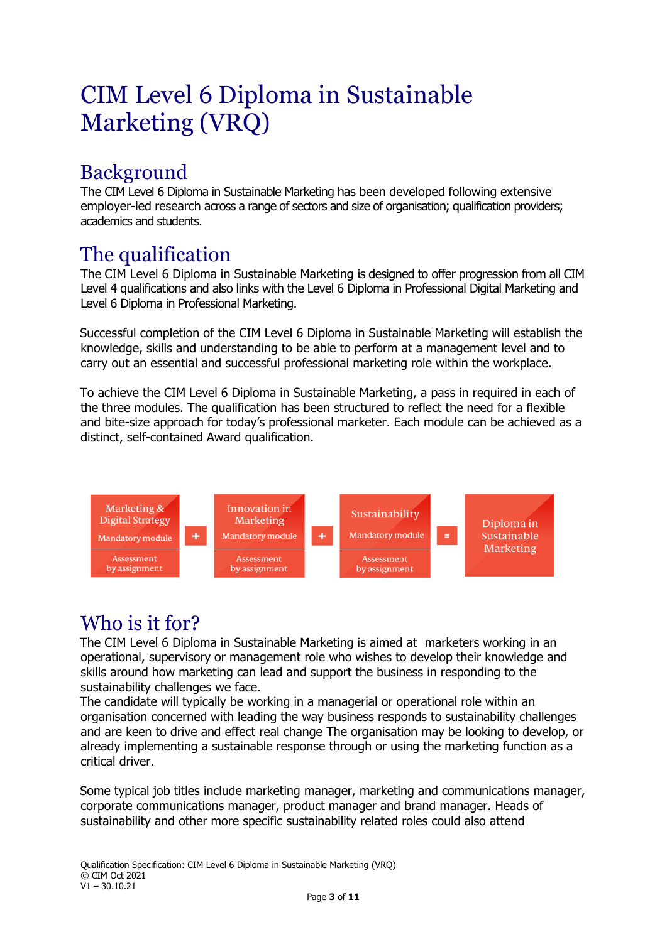# CIM Level 6 Diploma in Sustainable Marketing (VRQ)

## Background

The CIM Level 6 Diploma in Sustainable Marketing has been developed following extensive employer-led research across a range of sectors and size of organisation; qualification providers; academics and students.

## The qualification

The CIM Level 6 Diploma in Sustainable Marketing is designed to offer progression from all CIM Level 4 qualifications and also links with the Level 6 Diploma in Professional Digital Marketing and Level 6 Diploma in Professional Marketing.

Successful completion of the CIM Level 6 Diploma in Sustainable Marketing will establish the knowledge, skills and understanding to be able to perform at a management level and to carry out an essential and successful professional marketing role within the workplace.

To achieve the CIM Level 6 Diploma in Sustainable Marketing, a pass in required in each of the three modules. The qualification has been structured to reflect the need for a flexible and bite-size approach for today's professional marketer. Each module can be achieved as a distinct, self-contained Award qualification.



## Who is it for?

The CIM Level 6 Diploma in Sustainable Marketing is aimed at marketers working in an operational, supervisory or management role who wishes to develop their knowledge and skills around how marketing can lead and support the business in responding to the sustainability challenges we face.

The candidate will typically be working in a managerial or operational role within an organisation concerned with leading the way business responds to sustainability challenges and are keen to drive and effect real change The organisation may be looking to develop, or already implementing a sustainable response through or using the marketing function as a critical driver.

Some typical job titles include marketing manager, marketing and communications manager, corporate communications manager, product manager and brand manager. Heads of sustainability and other more specific sustainability related roles could also attend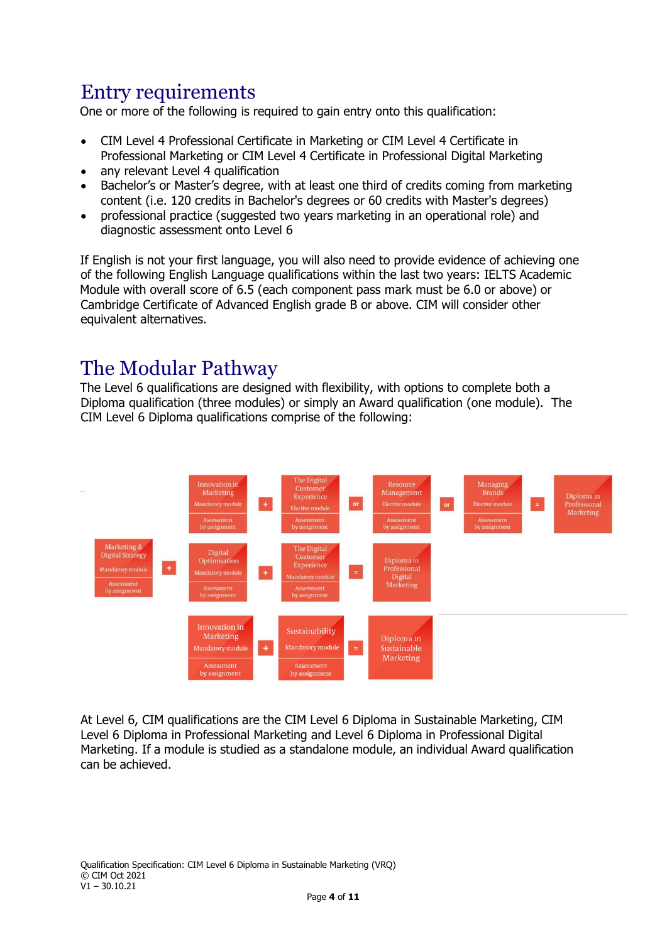## Entry requirements

One or more of the following is required to gain entry onto this qualification:

- CIM Level 4 Professional Certificate in Marketing or CIM Level 4 Certificate in Professional Marketing or CIM Level 4 Certificate in Professional Digital Marketing
- any relevant Level 4 qualification
- Bachelor's or Master's degree, with at least one third of credits coming from marketing content (i.e. 120 credits in Bachelor's degrees or 60 credits with Master's degrees)
- professional practice (suggested two years marketing in an operational role) and diagnostic assessment onto Level 6

If English is not your first language, you will also need to provide evidence of achieving one of the following English Language qualifications within the last two years: IELTS Academic Module with overall score of 6.5 (each component pass mark must be 6.0 or above) or Cambridge Certificate of Advanced English grade B or above. CIM will consider other equivalent alternatives.

### The Modular Pathway

The Level 6 qualifications are designed with flexibility, with options to complete both a Diploma qualification (three modules) or simply an Award qualification (one module). The CIM Level 6 Diploma qualifications comprise of the following:



At Level 6, CIM qualifications are the CIM Level 6 Diploma in Sustainable Marketing, CIM Level 6 Diploma in Professional Marketing and Level 6 Diploma in Professional Digital Marketing. If a module is studied as a standalone module, an individual Award qualification can be achieved.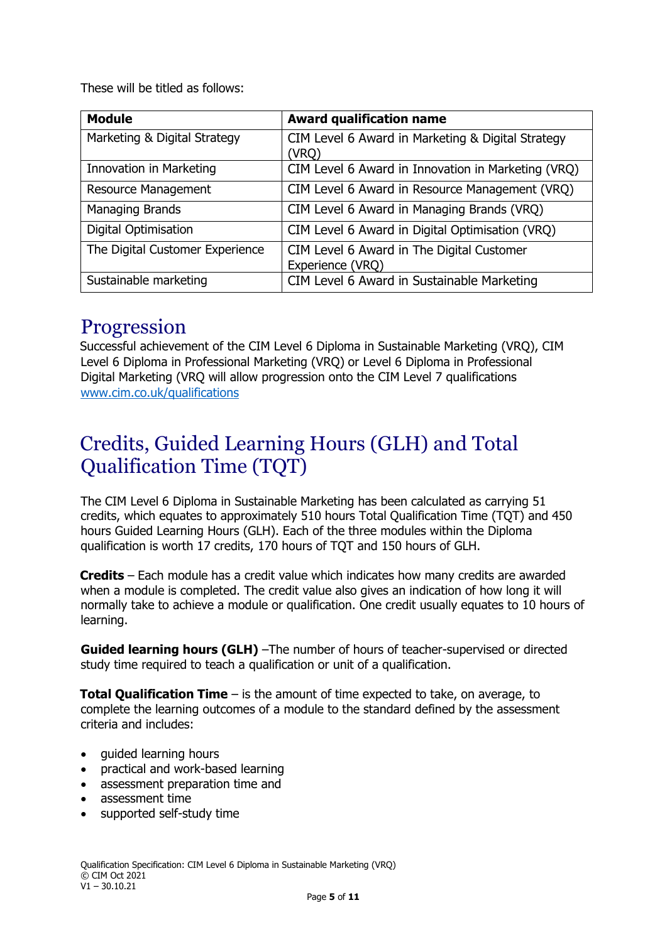These will be titled as follows:

| <b>Module</b>                   | <b>Award qualification name</b>                               |
|---------------------------------|---------------------------------------------------------------|
| Marketing & Digital Strategy    | CIM Level 6 Award in Marketing & Digital Strategy<br>(VRQ)    |
| Innovation in Marketing         | CIM Level 6 Award in Innovation in Marketing (VRQ)            |
| <b>Resource Management</b>      | CIM Level 6 Award in Resource Management (VRQ)                |
| Managing Brands                 | CIM Level 6 Award in Managing Brands (VRQ)                    |
| Digital Optimisation            | CIM Level 6 Award in Digital Optimisation (VRQ)               |
| The Digital Customer Experience | CIM Level 6 Award in The Digital Customer<br>Experience (VRQ) |
| Sustainable marketing           | CIM Level 6 Award in Sustainable Marketing                    |

#### Progression

Successful achievement of the CIM Level 6 Diploma in Sustainable Marketing (VRQ), CIM Level 6 Diploma in Professional Marketing (VRQ) or Level 6 Diploma in Professional Digital Marketing (VRQ will allow progression onto the CIM Level 7 qualifications [www.cim.co.uk/qualifications](http://www.cim.co.uk/qualifications) 

## Credits, Guided Learning Hours (GLH) and Total Qualification Time (TQT)

The CIM Level 6 Diploma in Sustainable Marketing has been calculated as carrying 51 credits, which equates to approximately 510 hours Total Qualification Time (TQT) and 450 hours Guided Learning Hours (GLH). Each of the three modules within the Diploma qualification is worth 17 credits, 170 hours of TQT and 150 hours of GLH.

**Credits** – Each module has a credit value which indicates how many credits are awarded when a module is completed. The credit value also gives an indication of how long it will normally take to achieve a module or qualification. One credit usually equates to 10 hours of learning.

**Guided learning hours (GLH)** –The number of hours of teacher-supervised or directed study time required to teach a qualification or unit of a qualification.

**Total Qualification Time** – is the amount of time expected to take, on average, to complete the learning outcomes of a module to the standard defined by the assessment criteria and includes:

- guided learning hours
- practical and work-based learning
- assessment preparation time and
- assessment time
- supported self-study time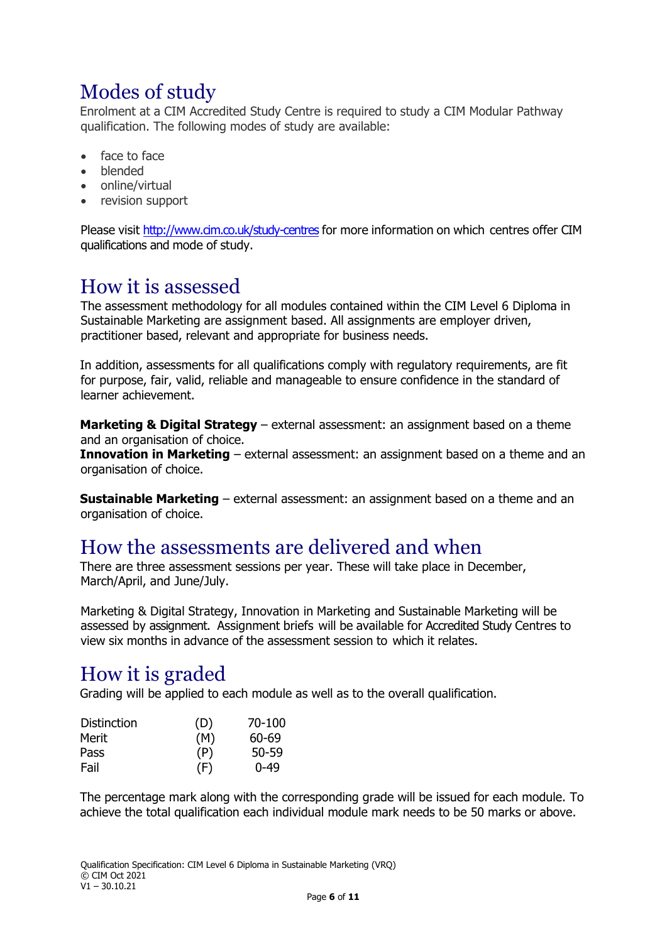## Modes of study

Enrolment at a CIM Accredited Study Centre is required to study a CIM Modular Pathway qualification. The following modes of study are available:

- face to face
- blended
- online/virtual
- revision support

Please visit <http://www.cim.co.uk/study-centres> for more information on which centres offer CIM qualifications and mode of study.

### How it is assessed

The assessment methodology for all modules contained within the CIM Level 6 Diploma in Sustainable Marketing are assignment based. All assignments are employer driven, practitioner based, relevant and appropriate for business needs.

In addition, assessments for all qualifications comply with regulatory requirements, are fit for purpose, fair, valid, reliable and manageable to ensure confidence in the standard of learner achievement.

**Marketing & Digital Strategy** – external assessment: an assignment based on a theme and an organisation of choice.

**Innovation in Marketing** – external assessment: an assignment based on a theme and an organisation of choice.

**Sustainable Marketing** – external assessment: an assignment based on a theme and an organisation of choice.

#### How the assessments are delivered and when

There are three assessment sessions per year. These will take place in December, March/April, and June/July.

Marketing & Digital Strategy, Innovation in Marketing and Sustainable Marketing will be assessed by assignment. Assignment briefs will be available for Accredited Study Centres to view six months in advance of the assessment session to which it relates.

### How it is graded

Grading will be applied to each module as well as to the overall qualification.

| <b>Distinction</b> | (D) | 70-100   |
|--------------------|-----|----------|
| Merit              | (M) | 60-69    |
| Pass               | (P) | 50-59    |
| Fail               | (F) | $0 - 49$ |

The percentage mark along with the corresponding grade will be issued for each module. To achieve the total qualification each individual module mark needs to be 50 marks or above.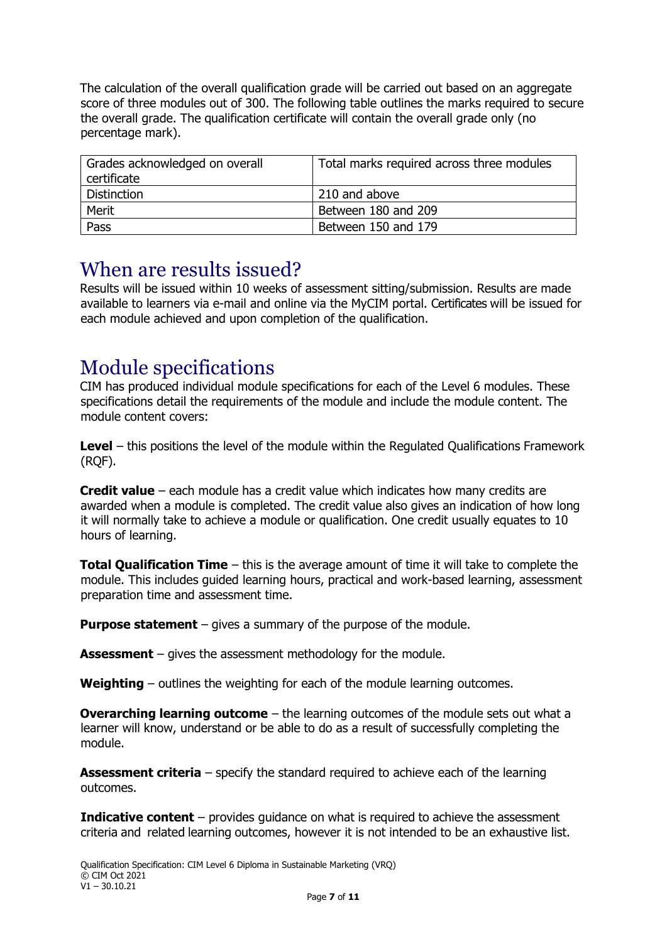The calculation of the overall qualification grade will be carried out based on an aggregate score of three modules out of 300. The following table outlines the marks required to secure the overall grade. The qualification certificate will contain the overall grade only (no percentage mark).

| Grades acknowledged on overall<br>certificate | Total marks required across three modules |
|-----------------------------------------------|-------------------------------------------|
| Distinction                                   | 210 and above                             |
| Merit                                         | Between 180 and 209                       |
| Pass                                          | Between 150 and 179                       |

#### When are results issued?

Results will be issued within 10 weeks of assessment sitting/submission. Results are made available to learners via e-mail and online via the MyCIM portal. Certificates will be issued for each module achieved and upon completion of the qualification.

#### Module specifications

CIM has produced individual module specifications for each of the Level 6 modules. These specifications detail the requirements of the module and include the module content. The module content covers:

**Level** – this positions the level of the module within the Regulated Qualifications Framework (RQF).

**Credit value** – each module has a credit value which indicates how many credits are awarded when a module is completed. The credit value also gives an indication of how long it will normally take to achieve a module or qualification. One credit usually equates to 10 hours of learning.

**Total Qualification Time** – this is the average amount of time it will take to complete the module. This includes guided learning hours, practical and work-based learning, assessment preparation time and assessment time.

**Purpose statement** – gives a summary of the purpose of the module.

**Assessment** – gives the assessment methodology for the module.

**Weighting** – outlines the weighting for each of the module learning outcomes.

**Overarching learning outcome** – the learning outcomes of the module sets out what a learner will know, understand or be able to do as a result of successfully completing the module.

**Assessment criteria** – specify the standard required to achieve each of the learning outcomes.

**Indicative content** – provides guidance on what is required to achieve the assessment criteria and related learning outcomes, however it is not intended to be an exhaustive list.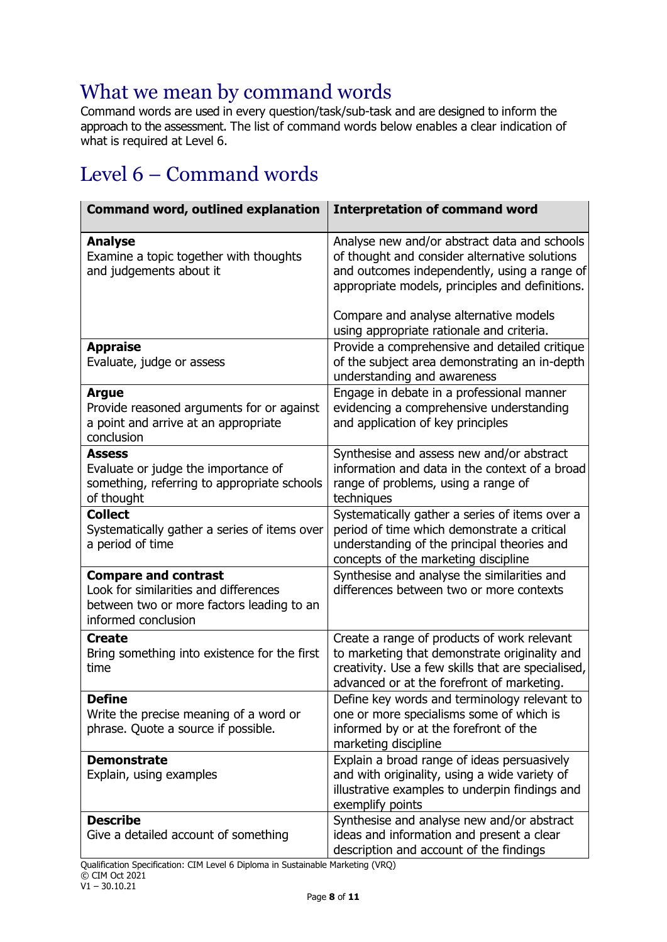### What we mean by command words

Command words are used in every question/task/sub-task and are designed to inform the approach to the assessment. The list of command words below enables a clear indication of what is required at Level 6.

## Level 6 – Command words

| <b>Command word, outlined explanation</b>                                                                                                  | <b>Interpretation of command word</b>                                                                                                                                                            |
|--------------------------------------------------------------------------------------------------------------------------------------------|--------------------------------------------------------------------------------------------------------------------------------------------------------------------------------------------------|
| <b>Analyse</b><br>Examine a topic together with thoughts<br>and judgements about it                                                        | Analyse new and/or abstract data and schools<br>of thought and consider alternative solutions<br>and outcomes independently, using a range of<br>appropriate models, principles and definitions. |
|                                                                                                                                            | Compare and analyse alternative models<br>using appropriate rationale and criteria.                                                                                                              |
| <b>Appraise</b><br>Evaluate, judge or assess                                                                                               | Provide a comprehensive and detailed critique<br>of the subject area demonstrating an in-depth<br>understanding and awareness                                                                    |
| <b>Argue</b><br>Provide reasoned arguments for or against<br>a point and arrive at an appropriate<br>conclusion                            | Engage in debate in a professional manner<br>evidencing a comprehensive understanding<br>and application of key principles                                                                       |
| <b>Assess</b><br>Evaluate or judge the importance of<br>something, referring to appropriate schools<br>of thought                          | Synthesise and assess new and/or abstract<br>information and data in the context of a broad<br>range of problems, using a range of<br>techniques                                                 |
| <b>Collect</b><br>Systematically gather a series of items over<br>a period of time                                                         | Systematically gather a series of items over a<br>period of time which demonstrate a critical<br>understanding of the principal theories and<br>concepts of the marketing discipline             |
| <b>Compare and contrast</b><br>Look for similarities and differences<br>between two or more factors leading to an<br>informed conclusion   | Synthesise and analyse the similarities and<br>differences between two or more contexts                                                                                                          |
| <b>Create</b><br>Bring something into existence for the first<br>time                                                                      | Create a range of products of work relevant<br>to marketing that demonstrate originality and<br>creativity. Use a few skills that are specialised,<br>advanced or at the forefront of marketing. |
| <b>Define</b><br>Write the precise meaning of a word or<br>phrase. Quote a source if possible.                                             | Define key words and terminology relevant to<br>one or more specialisms some of which is<br>informed by or at the forefront of the<br>marketing discipline                                       |
| <b>Demonstrate</b><br>Explain, using examples                                                                                              | Explain a broad range of ideas persuasively<br>and with originality, using a wide variety of<br>illustrative examples to underpin findings and<br>exemplify points                               |
| <b>Describe</b><br>Give a detailed account of something<br>Oualification Specification: CIM Level 6 Diploma in Suctainable Marketing (VDO) | Synthesise and analyse new and/or abstract<br>ideas and information and present a clear<br>description and account of the findings                                                               |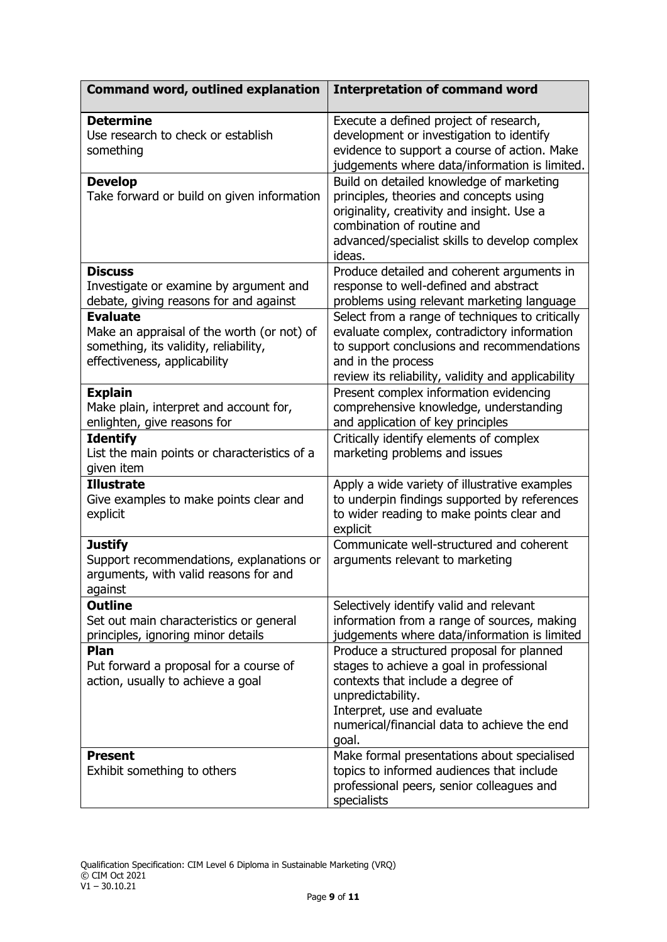| <b>Command word, outlined explanation</b>                                                                                                                                                                                                    | <b>Interpretation of command word</b>                                                                                                                                                                                                                                                                   |
|----------------------------------------------------------------------------------------------------------------------------------------------------------------------------------------------------------------------------------------------|---------------------------------------------------------------------------------------------------------------------------------------------------------------------------------------------------------------------------------------------------------------------------------------------------------|
| <b>Determine</b><br>Use research to check or establish<br>something                                                                                                                                                                          | Execute a defined project of research,<br>development or investigation to identify<br>evidence to support a course of action. Make<br>judgements where data/information is limited.                                                                                                                     |
| <b>Develop</b><br>Take forward or build on given information                                                                                                                                                                                 | Build on detailed knowledge of marketing<br>principles, theories and concepts using<br>originality, creativity and insight. Use a<br>combination of routine and<br>advanced/specialist skills to develop complex<br>ideas.                                                                              |
| <b>Discuss</b><br>Investigate or examine by argument and<br>debate, giving reasons for and against<br><b>Evaluate</b><br>Make an appraisal of the worth (or not) of<br>something, its validity, reliability,<br>effectiveness, applicability | Produce detailed and coherent arguments in<br>response to well-defined and abstract<br>problems using relevant marketing language<br>Select from a range of techniques to critically<br>evaluate complex, contradictory information<br>to support conclusions and recommendations<br>and in the process |
| <b>Explain</b><br>Make plain, interpret and account for,<br>enlighten, give reasons for<br><b>Identify</b>                                                                                                                                   | review its reliability, validity and applicability<br>Present complex information evidencing<br>comprehensive knowledge, understanding<br>and application of key principles<br>Critically identify elements of complex                                                                                  |
| List the main points or characteristics of a<br>given item                                                                                                                                                                                   | marketing problems and issues                                                                                                                                                                                                                                                                           |
| <b>Illustrate</b><br>Give examples to make points clear and<br>explicit                                                                                                                                                                      | Apply a wide variety of illustrative examples<br>to underpin findings supported by references<br>to wider reading to make points clear and<br>explicit                                                                                                                                                  |
| <b>Justify</b><br>Support recommendations, explanations or<br>arguments, with valid reasons for and<br>against                                                                                                                               | Communicate well-structured and coherent<br>arguments relevant to marketing                                                                                                                                                                                                                             |
| <b>Outline</b><br>Set out main characteristics or general<br>principles, ignoring minor details                                                                                                                                              | Selectively identify valid and relevant<br>information from a range of sources, making<br>judgements where data/information is limited                                                                                                                                                                  |
| Plan<br>Put forward a proposal for a course of<br>action, usually to achieve a goal                                                                                                                                                          | Produce a structured proposal for planned<br>stages to achieve a goal in professional<br>contexts that include a degree of<br>unpredictability.<br>Interpret, use and evaluate<br>numerical/financial data to achieve the end<br>goal.                                                                  |
| <b>Present</b><br>Exhibit something to others                                                                                                                                                                                                | Make formal presentations about specialised<br>topics to informed audiences that include<br>professional peers, senior colleagues and<br>specialists                                                                                                                                                    |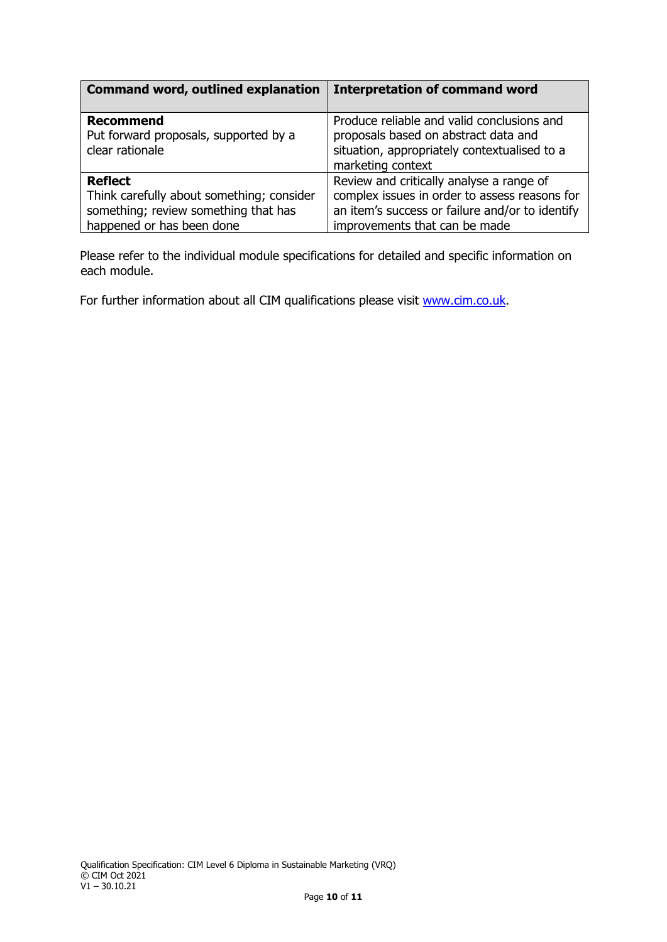| <b>Command word, outlined explanation</b>                                                                                        | <b>Interpretation of command word</b>                                                                                                                                         |
|----------------------------------------------------------------------------------------------------------------------------------|-------------------------------------------------------------------------------------------------------------------------------------------------------------------------------|
| <b>Recommend</b><br>Put forward proposals, supported by a<br>clear rationale                                                     | Produce reliable and valid conclusions and<br>proposals based on abstract data and<br>situation, appropriately contextualised to a<br>marketing context                       |
| <b>Reflect</b><br>Think carefully about something; consider<br>something; review something that has<br>happened or has been done | Review and critically analyse a range of<br>complex issues in order to assess reasons for<br>an item's success or failure and/or to identify<br>improvements that can be made |

Please refer to the individual module specifications for detailed and specific information on each module.

For further information about all CIM qualifications please visit www.cim.co.uk.